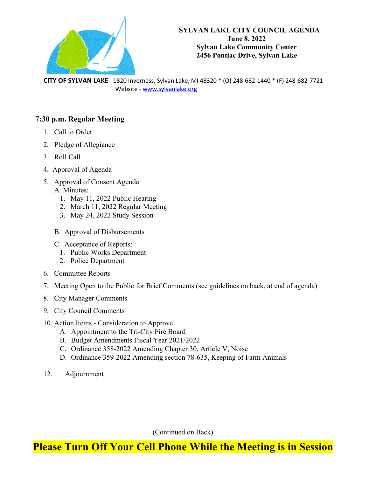

 **CITY OF SYLVAN LAKE** 1820 Inverness, Sylvan Lake, MI 48320 \* (O) 248-682-1440 \* (F) 248-682-7721 Website - [www.sylvanlake.org](http://www.sylvanlake.org/)

#### **7:30 p.m. Regular Meeting**

- 1. Call to Order
- 2. Pledge of Allegiance
- 3. Roll Call
- 4. Approval of Agenda
- 5. Approval of Consent Agenda A. Minutes:
	- 1. May 11, 2022 Public Hearing
	- 2. March 11, 2022 Regular Meeting
	- 3. May 24, 2022 Study Session
	- B. Approval of Disbursements
	- C. Acceptance of Reports:
		- 1. Public Works Department
		- 2. Police Department
- 6. Committee Reports
- 7. Meeting Open to the Public for Brief Comments (see guidelines on back, at end of agenda)
- 8. City Manager Comments
- 9. City Council Comments
- 10. Action Items Consideration to Approve
	- A. Appointment to the Tri-City Fire Board
	- B. Budget Amendments Fiscal Year 2021/2022
	- C. Ordinance 358-2022 Amending Chapter 30, Article V, Noise
	- D. Ordinance 359-2022 Amending section 78-635, Keeping of Farm Animals
- 12. Adjournment

(Continued on Back)

#### **Please Turn Off Your Cell Phone While the Meeting is in Session**